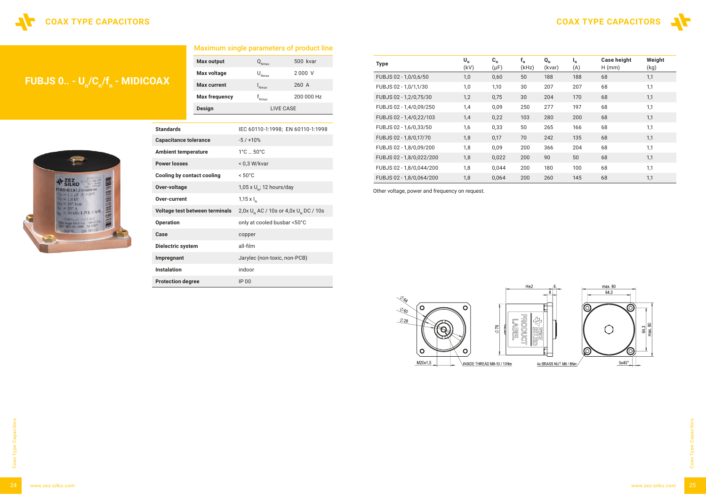## **FUBJS 0.. - U<sub>n</sub>/C<sub>n</sub>/f<sub>n</sub> - MIDICOAX**



| <b>Design</b>                     | <b>LIVE CASE</b>                                               |  |  |  |
|-----------------------------------|----------------------------------------------------------------|--|--|--|
|                                   |                                                                |  |  |  |
| <b>Standards</b>                  | IEC 60110-1:1998; EN 60110-1:1998                              |  |  |  |
| <b>Capacitance tolerance</b>      | $-5/110%$                                                      |  |  |  |
| <b>Ambient temperature</b>        | $1^{\circ}$ C $$ 50 $^{\circ}$ C                               |  |  |  |
| <b>Power losses</b>               | < 0,3 W/kvar                                                   |  |  |  |
| <b>Cooling by contact cooling</b> | $< 50^{\circ}$ C                                               |  |  |  |
| Over-voltage                      | 1,05 x $U_{N}$ ; 12 hours/day                                  |  |  |  |
| Over-current                      | 1,15 $\times$ $I_{N}$                                          |  |  |  |
| Voltage test between terminals    | $2,0x$ U <sub>N</sub> AC / 10s or 4,0x U <sub>N</sub> DC / 10s |  |  |  |
| <b>Operation</b>                  | only at cooled busbar <50°C                                    |  |  |  |
| Case                              | copper                                                         |  |  |  |
| Dielectric system                 | all-film                                                       |  |  |  |
| Impregnant                        | Jarylec (non-toxic, non-PCB)                                   |  |  |  |
| <b>Instalation</b>                | indoor                                                         |  |  |  |
| <b>Protection degree</b>          | IP 00                                                          |  |  |  |

#### Maximum single parameters of product line

 $Q_{Nmax}$ 

 $U_{Nmax}$ 

 $\mathsf{I}_{\mathsf{Nmax}}$ 

 $f_{_{\text{Nmax}}}$ 

**Max output** 

**Max voltage** 

**Max current** 

**Max frequency** 

500 kvar

2 000 V

260 A

200 000 Hz

| <b>Type</b>              | $U_{N}$<br>(kV) | $C_{N}$<br>$(\mu F)$ | $f_{N}$<br>(kHz) | $Q_{N}$<br>(kvar) | $\mathbf{I}_{N}$<br>(A) | <b>Case height</b><br>$H$ (mm) | Weight<br>(kg) |
|--------------------------|-----------------|----------------------|------------------|-------------------|-------------------------|--------------------------------|----------------|
| FUBJS 02 - 1,0/0,6/50    | 1,0             | 0,60                 | 50               | 188               | 188                     | 68                             | 1,1            |
| FUBJS 02 - 1,0/1,1/30    | 1,0             | 1,10                 | 30               | 207               | 207                     | 68                             | 1,1            |
| FUBJS 02 - 1,2/0,75/30   | 1,2             | 0,75                 | 30               | 204               | 170                     | 68                             | 1,1            |
| FUBJS 02 - 1,4/0,09/250  | 1,4             | 0,09                 | 250              | 277               | 197                     | 68                             | 1,1            |
| FUBJS 02 - 1,4/0,22/103  | 1,4             | 0,22                 | 103              | 280               | 200                     | 68                             | 1,1            |
| FUBJS 02 - 1,6/0,33/50   | 1,6             | 0,33                 | 50               | 265               | 166                     | 68                             | 1,1            |
| FUBJS 02 - 1,8/0,17/70   | 1,8             | 0,17                 | 70               | 242               | 135                     | 68                             | 1,1            |
| FUBJS 02 - 1,8/0,09/200  | 1,8             | 0,09                 | 200              | 366               | 204                     | 68                             | 1,1            |
| FUBJS 02 - 1,8/0,022/200 | 1,8             | 0,022                | 200              | 90                | 50                      | 68                             | 1,1            |
| FUBJS 02 - 1,8/0,044/200 | 1,8             | 0,044                | 200              | 180               | 100                     | 68                             | 1,1            |
| FUBJS 02 - 1,8/0,064/200 | 1,8             | 0,064                | 200              | 260               | 145                     | 68                             | 1,1            |

Other voltage, power and frequency on request.



## COAX TYPE CAPACITORS